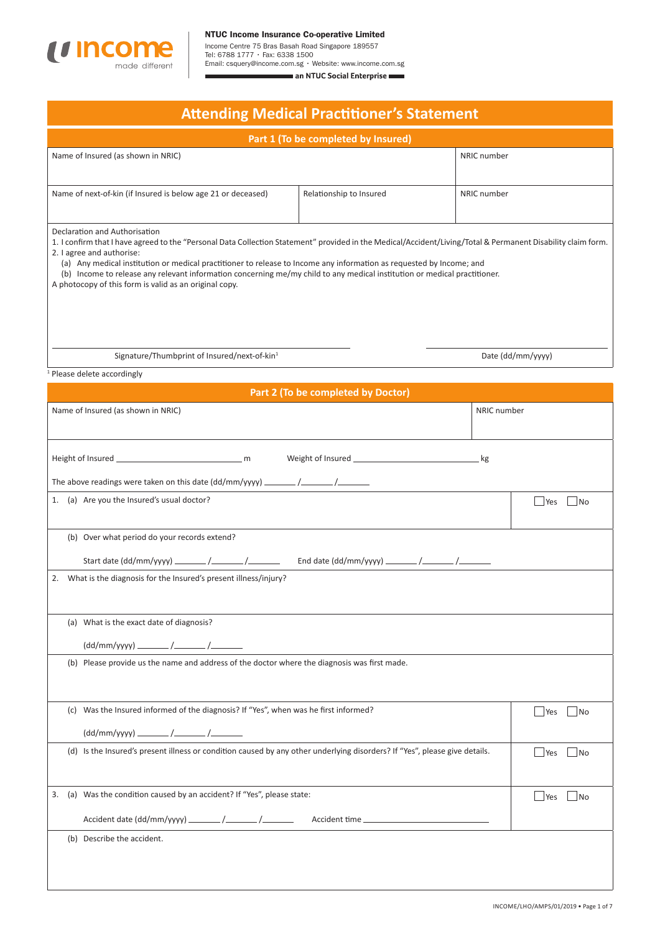

 $\blacksquare$ 

Income Centre 75 Bras Basah Road Singapore 189557 Tel: 6788 1777 • Fax: 6338 1500 Email: csquery@income.com.sg • Website: www.income.com.sgan NTUC Social Enterprise

| <b>Attending Medical Practitioner's Statement</b>                                            |                                                                                                                                                                                                                                                                                                                                                                                                                                                                             |                                    |             |                          |  |
|----------------------------------------------------------------------------------------------|-----------------------------------------------------------------------------------------------------------------------------------------------------------------------------------------------------------------------------------------------------------------------------------------------------------------------------------------------------------------------------------------------------------------------------------------------------------------------------|------------------------------------|-------------|--------------------------|--|
| Part 1 (To be completed by Insured)                                                          |                                                                                                                                                                                                                                                                                                                                                                                                                                                                             |                                    |             |                          |  |
| Name of Insured (as shown in NRIC)                                                           |                                                                                                                                                                                                                                                                                                                                                                                                                                                                             |                                    | NRIC number |                          |  |
|                                                                                              | Name of next-of-kin (if Insured is below age 21 or deceased)                                                                                                                                                                                                                                                                                                                                                                                                                | Relationship to Insured            | NRIC number |                          |  |
| Declaration and Authorisation<br>2. I agree and authorise:                                   | 1. I confirm that I have agreed to the "Personal Data Collection Statement" provided in the Medical/Accident/Living/Total & Permanent Disability claim form.<br>(a) Any medical institution or medical practitioner to release to Income any information as requested by Income; and<br>(b) Income to release any relevant information concerning me/my child to any medical institution or medical practitioner.<br>A photocopy of this form is valid as an original copy. |                                    |             |                          |  |
|                                                                                              | Signature/Thumbprint of Insured/next-of-kin <sup>1</sup>                                                                                                                                                                                                                                                                                                                                                                                                                    |                                    |             | Date (dd/mm/yyyy)        |  |
| <sup>1</sup> Please delete accordingly                                                       |                                                                                                                                                                                                                                                                                                                                                                                                                                                                             |                                    |             |                          |  |
|                                                                                              |                                                                                                                                                                                                                                                                                                                                                                                                                                                                             | Part 2 (To be completed by Doctor) |             |                          |  |
| Name of Insured (as shown in NRIC)                                                           |                                                                                                                                                                                                                                                                                                                                                                                                                                                                             |                                    | NRIC number |                          |  |
|                                                                                              |                                                                                                                                                                                                                                                                                                                                                                                                                                                                             |                                    | _ kg        |                          |  |
| 1.                                                                                           | (a) Are you the Insured's usual doctor?                                                                                                                                                                                                                                                                                                                                                                                                                                     |                                    |             | $ $ Yes<br>  No          |  |
|                                                                                              | (b) Over what period do your records extend?                                                                                                                                                                                                                                                                                                                                                                                                                                |                                    |             |                          |  |
|                                                                                              | 2. What is the diagnosis for the Insured's present illness/injury?                                                                                                                                                                                                                                                                                                                                                                                                          |                                    |             |                          |  |
|                                                                                              | (a) What is the exact date of diagnosis?                                                                                                                                                                                                                                                                                                                                                                                                                                    |                                    |             |                          |  |
| (b) Please provide us the name and address of the doctor where the diagnosis was first made. |                                                                                                                                                                                                                                                                                                                                                                                                                                                                             |                                    |             |                          |  |
|                                                                                              | (c) Was the Insured informed of the diagnosis? If "Yes", when was he first informed?                                                                                                                                                                                                                                                                                                                                                                                        |                                    |             | <b>Yes</b><br>$\vert$ No |  |
|                                                                                              | (d) Is the Insured's present illness or condition caused by any other underlying disorders? If "Yes", please give details.                                                                                                                                                                                                                                                                                                                                                  |                                    |             | Yes<br>$ $ No            |  |
| 3.                                                                                           | (a) Was the condition caused by an accident? If "Yes", please state:<br><b>Yes</b><br> No                                                                                                                                                                                                                                                                                                                                                                                   |                                    |             |                          |  |
| (b) Describe the accident.                                                                   |                                                                                                                                                                                                                                                                                                                                                                                                                                                                             |                                    |             |                          |  |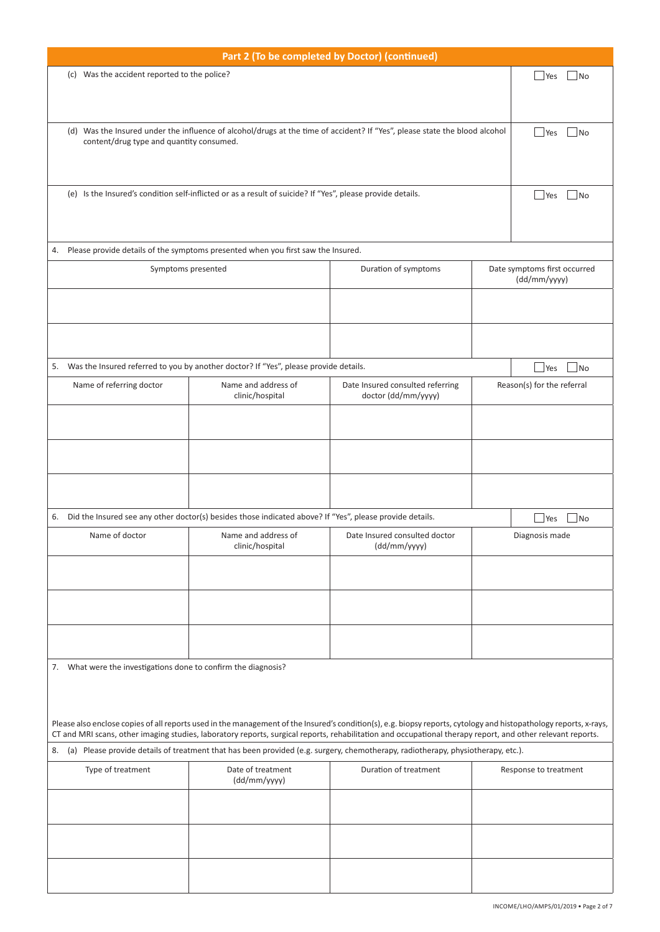| Part 2 (To be completed by Doctor) (continued)                                                                                                                                                                                                                                                      |                                                                                                                            |                                                         |  |                                              |  |  |
|-----------------------------------------------------------------------------------------------------------------------------------------------------------------------------------------------------------------------------------------------------------------------------------------------------|----------------------------------------------------------------------------------------------------------------------------|---------------------------------------------------------|--|----------------------------------------------|--|--|
|                                                                                                                                                                                                                                                                                                     | (c) Was the accident reported to the police?<br>$\Box$ No<br><b>Yes</b>                                                    |                                                         |  |                                              |  |  |
|                                                                                                                                                                                                                                                                                                     |                                                                                                                            |                                                         |  |                                              |  |  |
| content/drug type and quantity consumed.                                                                                                                                                                                                                                                            | (d) Was the Insured under the influence of alcohol/drugs at the time of accident? If "Yes", please state the blood alcohol |                                                         |  | No<br><b>Yes</b>                             |  |  |
|                                                                                                                                                                                                                                                                                                     |                                                                                                                            |                                                         |  |                                              |  |  |
|                                                                                                                                                                                                                                                                                                     | (e) Is the Insured's condition self-inflicted or as a result of suicide? If "Yes", please provide details.                 |                                                         |  | No<br>Yes                                    |  |  |
| 4.                                                                                                                                                                                                                                                                                                  | Please provide details of the symptoms presented when you first saw the Insured.                                           |                                                         |  |                                              |  |  |
| Symptoms presented                                                                                                                                                                                                                                                                                  |                                                                                                                            | Duration of symptoms                                    |  |                                              |  |  |
|                                                                                                                                                                                                                                                                                                     |                                                                                                                            |                                                         |  | Date symptoms first occurred<br>(dd/mm/yyyy) |  |  |
|                                                                                                                                                                                                                                                                                                     |                                                                                                                            |                                                         |  |                                              |  |  |
|                                                                                                                                                                                                                                                                                                     |                                                                                                                            |                                                         |  |                                              |  |  |
|                                                                                                                                                                                                                                                                                                     | 5. Was the Insured referred to you by another doctor? If "Yes", please provide details.                                    |                                                         |  | $\overline{\mathsf{No}}$<br>Yes              |  |  |
| Name of referring doctor                                                                                                                                                                                                                                                                            | Name and address of<br>clinic/hospital                                                                                     | Date Insured consulted referring<br>doctor (dd/mm/yyyy) |  | Reason(s) for the referral                   |  |  |
|                                                                                                                                                                                                                                                                                                     |                                                                                                                            |                                                         |  |                                              |  |  |
|                                                                                                                                                                                                                                                                                                     |                                                                                                                            |                                                         |  |                                              |  |  |
|                                                                                                                                                                                                                                                                                                     |                                                                                                                            |                                                         |  |                                              |  |  |
| 6.                                                                                                                                                                                                                                                                                                  | Did the Insured see any other doctor(s) besides those indicated above? If "Yes", please provide details.                   |                                                         |  | $\square$ No<br>Yes                          |  |  |
| Name of doctor                                                                                                                                                                                                                                                                                      | Name and address of<br>clinic/hospital                                                                                     | Date Insured consulted doctor<br>(dd/mm/yyyy)           |  | Diagnosis made                               |  |  |
|                                                                                                                                                                                                                                                                                                     |                                                                                                                            |                                                         |  |                                              |  |  |
|                                                                                                                                                                                                                                                                                                     |                                                                                                                            |                                                         |  |                                              |  |  |
|                                                                                                                                                                                                                                                                                                     |                                                                                                                            |                                                         |  |                                              |  |  |
| 7. What were the investigations done to confirm the diagnosis?                                                                                                                                                                                                                                      |                                                                                                                            |                                                         |  |                                              |  |  |
|                                                                                                                                                                                                                                                                                                     |                                                                                                                            |                                                         |  |                                              |  |  |
| Please also enclose copies of all reports used in the management of the Insured's condition(s), e.g. biopsy reports, cytology and histopathology reports, x-rays,                                                                                                                                   |                                                                                                                            |                                                         |  |                                              |  |  |
| CT and MRI scans, other imaging studies, laboratory reports, surgical reports, rehabilitation and occupational therapy report, and other relevant reports.<br>(a) Please provide details of treatment that has been provided (e.g. surgery, chemotherapy, radiotherapy, physiotherapy, etc.).<br>8. |                                                                                                                            |                                                         |  |                                              |  |  |
| Type of treatment                                                                                                                                                                                                                                                                                   | Date of treatment<br>(dd/mm/yyyy)                                                                                          | Duration of treatment                                   |  | Response to treatment                        |  |  |
|                                                                                                                                                                                                                                                                                                     |                                                                                                                            |                                                         |  |                                              |  |  |
|                                                                                                                                                                                                                                                                                                     |                                                                                                                            |                                                         |  |                                              |  |  |
|                                                                                                                                                                                                                                                                                                     |                                                                                                                            |                                                         |  |                                              |  |  |
|                                                                                                                                                                                                                                                                                                     |                                                                                                                            |                                                         |  |                                              |  |  |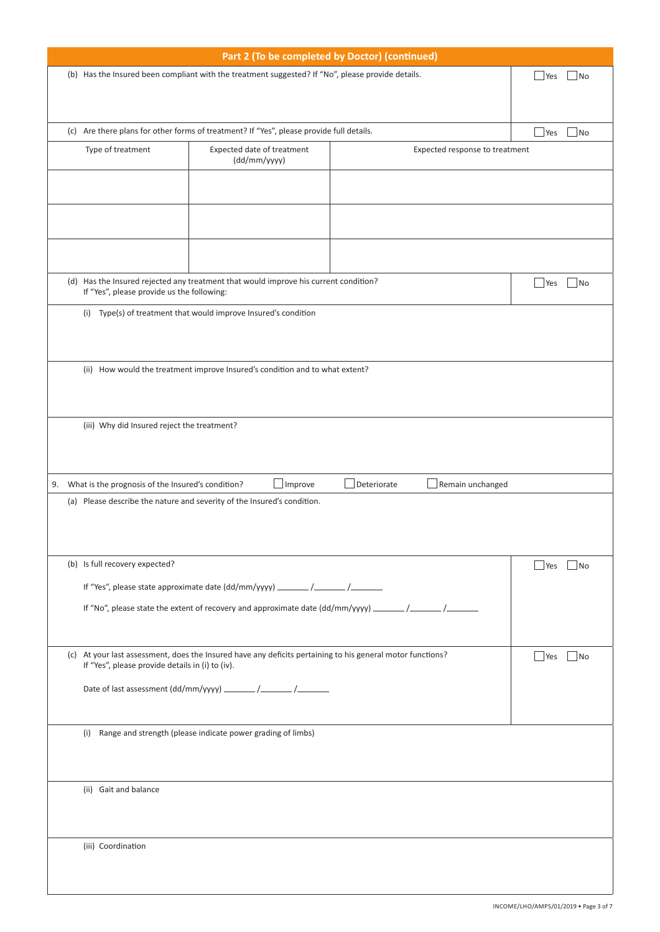| Part 2 (To be completed by Doctor) (continued)                                                                                |                                                      |                                                                                                            |                                 |                   |  |  |
|-------------------------------------------------------------------------------------------------------------------------------|------------------------------------------------------|------------------------------------------------------------------------------------------------------------|---------------------------------|-------------------|--|--|
| (b) Has the Insured been compliant with the treatment suggested? If "No", please provide details.<br>$\vert$ No<br><b>Yes</b> |                                                      |                                                                                                            |                                 |                   |  |  |
|                                                                                                                               |                                                      |                                                                                                            |                                 |                   |  |  |
|                                                                                                                               |                                                      |                                                                                                            |                                 |                   |  |  |
| (c) Are there plans for other forms of treatment? If "Yes", please provide full details.<br>$ $ Yes                           |                                                      |                                                                                                            |                                 |                   |  |  |
|                                                                                                                               | Type of treatment                                    | Expected date of treatment                                                                                 |                                 | No                |  |  |
|                                                                                                                               |                                                      | (dd/mm/yyyy)                                                                                               | Expected response to treatment  |                   |  |  |
|                                                                                                                               |                                                      |                                                                                                            |                                 |                   |  |  |
|                                                                                                                               |                                                      |                                                                                                            |                                 |                   |  |  |
|                                                                                                                               |                                                      |                                                                                                            |                                 |                   |  |  |
|                                                                                                                               |                                                      |                                                                                                            |                                 |                   |  |  |
|                                                                                                                               |                                                      |                                                                                                            |                                 |                   |  |  |
|                                                                                                                               |                                                      |                                                                                                            |                                 |                   |  |  |
|                                                                                                                               |                                                      | (d) Has the Insured rejected any treatment that would improve his current condition?                       |                                 | $\vert$ No<br>Yes |  |  |
|                                                                                                                               | If "Yes", please provide us the following:           |                                                                                                            |                                 |                   |  |  |
|                                                                                                                               |                                                      | (i) Type(s) of treatment that would improve Insured's condition                                            |                                 |                   |  |  |
|                                                                                                                               |                                                      |                                                                                                            |                                 |                   |  |  |
|                                                                                                                               |                                                      |                                                                                                            |                                 |                   |  |  |
|                                                                                                                               |                                                      | (ii) How would the treatment improve Insured's condition and to what extent?                               |                                 |                   |  |  |
|                                                                                                                               |                                                      |                                                                                                            |                                 |                   |  |  |
|                                                                                                                               |                                                      |                                                                                                            |                                 |                   |  |  |
|                                                                                                                               | (iii) Why did Insured reject the treatment?          |                                                                                                            |                                 |                   |  |  |
|                                                                                                                               |                                                      |                                                                                                            |                                 |                   |  |  |
|                                                                                                                               |                                                      |                                                                                                            |                                 |                   |  |  |
|                                                                                                                               |                                                      |                                                                                                            |                                 |                   |  |  |
|                                                                                                                               | 9. What is the prognosis of the Insured's condition? | Improve                                                                                                    | Deteriorate<br>Remain unchanged |                   |  |  |
| (a) Please describe the nature and severity of the Insured's condition.                                                       |                                                      |                                                                                                            |                                 |                   |  |  |
|                                                                                                                               |                                                      |                                                                                                            |                                 |                   |  |  |
|                                                                                                                               |                                                      |                                                                                                            |                                 |                   |  |  |
|                                                                                                                               | (b) Is full recovery expected?                       |                                                                                                            |                                 | Yes   No          |  |  |
|                                                                                                                               |                                                      |                                                                                                            |                                 |                   |  |  |
| If "Yes", please state approximate date (dd/mm/yyyy) ________ /________ /________                                             |                                                      |                                                                                                            |                                 |                   |  |  |
|                                                                                                                               |                                                      |                                                                                                            |                                 |                   |  |  |
|                                                                                                                               |                                                      |                                                                                                            |                                 |                   |  |  |
|                                                                                                                               |                                                      | (c) At your last assessment, does the Insured have any deficits pertaining to his general motor functions? |                                 | $ $ Yes<br> No    |  |  |
|                                                                                                                               | If "Yes", please provide details in (i) to (iv).     |                                                                                                            |                                 |                   |  |  |
|                                                                                                                               |                                                      |                                                                                                            |                                 |                   |  |  |
|                                                                                                                               |                                                      |                                                                                                            |                                 |                   |  |  |
|                                                                                                                               |                                                      |                                                                                                            |                                 |                   |  |  |
| (i) Range and strength (please indicate power grading of limbs)                                                               |                                                      |                                                                                                            |                                 |                   |  |  |
|                                                                                                                               |                                                      |                                                                                                            |                                 |                   |  |  |
|                                                                                                                               |                                                      |                                                                                                            |                                 |                   |  |  |
|                                                                                                                               | (ii) Gait and balance                                |                                                                                                            |                                 |                   |  |  |
|                                                                                                                               |                                                      |                                                                                                            |                                 |                   |  |  |
|                                                                                                                               |                                                      |                                                                                                            |                                 |                   |  |  |
| (iii) Coordination                                                                                                            |                                                      |                                                                                                            |                                 |                   |  |  |
|                                                                                                                               |                                                      |                                                                                                            |                                 |                   |  |  |
|                                                                                                                               |                                                      |                                                                                                            |                                 |                   |  |  |
|                                                                                                                               |                                                      |                                                                                                            |                                 |                   |  |  |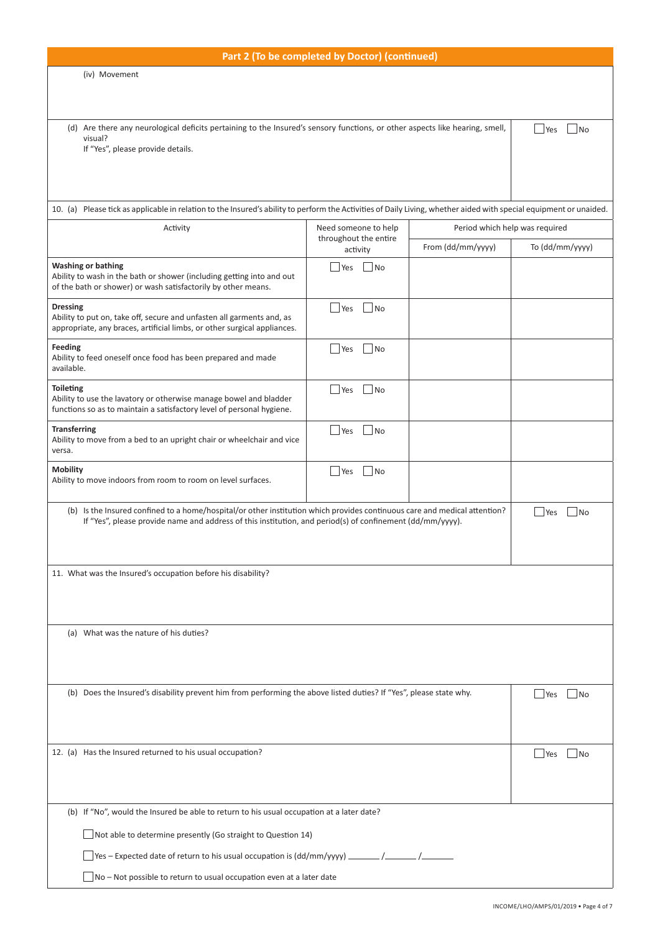| Part 2 (To be completed by Doctor) (continued)                                                                                                                     |                                                                                                                                |                                |                                 |  |  |  |
|--------------------------------------------------------------------------------------------------------------------------------------------------------------------|--------------------------------------------------------------------------------------------------------------------------------|--------------------------------|---------------------------------|--|--|--|
| (iv) Movement                                                                                                                                                      |                                                                                                                                |                                |                                 |  |  |  |
|                                                                                                                                                                    |                                                                                                                                |                                |                                 |  |  |  |
|                                                                                                                                                                    |                                                                                                                                |                                |                                 |  |  |  |
| (d) Are there any neurological deficits pertaining to the Insured's sensory functions, or other aspects like hearing, smell,<br>visual?                            |                                                                                                                                |                                | <b>Yes</b><br>  No              |  |  |  |
| If "Yes", please provide details.                                                                                                                                  |                                                                                                                                |                                |                                 |  |  |  |
|                                                                                                                                                                    |                                                                                                                                |                                |                                 |  |  |  |
|                                                                                                                                                                    |                                                                                                                                |                                |                                 |  |  |  |
| 10. (a) Please tick as applicable in relation to the Insured's ability to perform the Activities of Daily Living, whether aided with special equipment or unaided. |                                                                                                                                |                                |                                 |  |  |  |
| Activity                                                                                                                                                           | Need someone to help                                                                                                           | Period which help was required |                                 |  |  |  |
|                                                                                                                                                                    | throughout the entire<br>activity                                                                                              | From (dd/mm/yyyy)              | To (dd/mm/yyyy)                 |  |  |  |
| <b>Washing or bathing</b>                                                                                                                                          | $\overline{\mathsf{No}}$<br>Yes                                                                                                |                                |                                 |  |  |  |
| Ability to wash in the bath or shower (including getting into and out<br>of the bath or shower) or wash satisfactorily by other means.                             |                                                                                                                                |                                |                                 |  |  |  |
|                                                                                                                                                                    |                                                                                                                                |                                |                                 |  |  |  |
| <b>Dressing</b><br>Ability to put on, take off, secure and unfasten all garments and, as                                                                           | Yes <br> N <sub>O</sub>                                                                                                        |                                |                                 |  |  |  |
| appropriate, any braces, artificial limbs, or other surgical appliances.                                                                                           |                                                                                                                                |                                |                                 |  |  |  |
| Feeding<br>Ability to feed oneself once food has been prepared and made                                                                                            | Yes<br>N <sub>O</sub>                                                                                                          |                                |                                 |  |  |  |
| available.                                                                                                                                                         |                                                                                                                                |                                |                                 |  |  |  |
| <b>Toileting</b><br>Ability to use the lavatory or otherwise manage bowel and bladder                                                                              | l Yes<br>$ $ No                                                                                                                |                                |                                 |  |  |  |
| functions so as to maintain a satisfactory level of personal hygiene.                                                                                              |                                                                                                                                |                                |                                 |  |  |  |
| <b>Transferring</b>                                                                                                                                                | Yes<br> N <sub>O</sub>                                                                                                         |                                |                                 |  |  |  |
| Ability to move from a bed to an upright chair or wheelchair and vice<br>versa.                                                                                    |                                                                                                                                |                                |                                 |  |  |  |
| <b>Mobility</b>                                                                                                                                                    | Yes<br> N <sub>O</sub>                                                                                                         |                                |                                 |  |  |  |
| Ability to move indoors from room to room on level surfaces.                                                                                                       |                                                                                                                                |                                |                                 |  |  |  |
| (b) Is the Insured confined to a home/hospital/or other institution which provides continuous care and medical attention?                                          |                                                                                                                                |                                |                                 |  |  |  |
|                                                                                                                                                                    | <b>Yes</b><br> No<br>If "Yes", please provide name and address of this institution, and period(s) of confinement (dd/mm/yyyy). |                                |                                 |  |  |  |
|                                                                                                                                                                    |                                                                                                                                |                                |                                 |  |  |  |
|                                                                                                                                                                    |                                                                                                                                |                                |                                 |  |  |  |
| 11. What was the Insured's occupation before his disability?                                                                                                       |                                                                                                                                |                                |                                 |  |  |  |
|                                                                                                                                                                    |                                                                                                                                |                                |                                 |  |  |  |
|                                                                                                                                                                    |                                                                                                                                |                                |                                 |  |  |  |
| (a) What was the nature of his duties?                                                                                                                             |                                                                                                                                |                                |                                 |  |  |  |
|                                                                                                                                                                    |                                                                                                                                |                                |                                 |  |  |  |
|                                                                                                                                                                    |                                                                                                                                |                                |                                 |  |  |  |
| (b) Does the Insured's disability prevent him from performing the above listed duties? If "Yes", please state why.                                                 |                                                                                                                                |                                | $\overline{\mathsf{No}}$<br>Yes |  |  |  |
|                                                                                                                                                                    |                                                                                                                                |                                |                                 |  |  |  |
|                                                                                                                                                                    |                                                                                                                                |                                |                                 |  |  |  |
| 12. (a) Has the Insured returned to his usual occupation?<br>Yes<br>No.                                                                                            |                                                                                                                                |                                |                                 |  |  |  |
|                                                                                                                                                                    |                                                                                                                                |                                |                                 |  |  |  |
|                                                                                                                                                                    |                                                                                                                                |                                |                                 |  |  |  |
| (b) If "No", would the Insured be able to return to his usual occupation at a later date?                                                                          |                                                                                                                                |                                |                                 |  |  |  |
|                                                                                                                                                                    |                                                                                                                                |                                |                                 |  |  |  |
| $\Box$ Not able to determine presently (Go straight to Question 14)                                                                                                |                                                                                                                                |                                |                                 |  |  |  |
| $\Box$ Yes – Expected date of return to his usual occupation is (dd/mm/yyyy) $\_\_\_\_\_$ /                                                                        |                                                                                                                                |                                |                                 |  |  |  |
| No - Not possible to return to usual occupation even at a later date                                                                                               |                                                                                                                                |                                |                                 |  |  |  |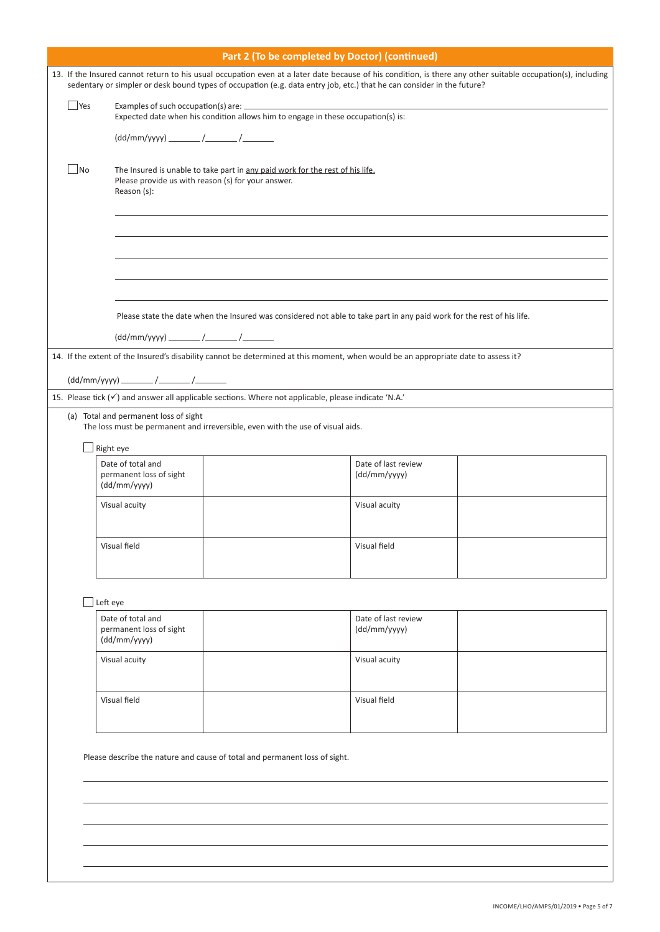|     | Part 2 (To be completed by Doctor) (continued)                                                                                                                                                                                                                                         |                                                                                                                                     |                     |  |  |  |  |
|-----|----------------------------------------------------------------------------------------------------------------------------------------------------------------------------------------------------------------------------------------------------------------------------------------|-------------------------------------------------------------------------------------------------------------------------------------|---------------------|--|--|--|--|
|     | 13. If the Insured cannot return to his usual occupation even at a later date because of his condition, is there any other suitable occupation(s), including<br>sedentary or simpler or desk bound types of occupation (e.g. data entry job, etc.) that he can consider in the future? |                                                                                                                                     |                     |  |  |  |  |
| Yes |                                                                                                                                                                                                                                                                                        | Expected date when his condition allows him to engage in these occupation(s) is:                                                    |                     |  |  |  |  |
|     |                                                                                                                                                                                                                                                                                        |                                                                                                                                     |                     |  |  |  |  |
| No  | Reason (s):                                                                                                                                                                                                                                                                            | The Insured is unable to take part in any paid work for the rest of his life.<br>Please provide us with reason (s) for your answer. |                     |  |  |  |  |
|     |                                                                                                                                                                                                                                                                                        |                                                                                                                                     |                     |  |  |  |  |
|     |                                                                                                                                                                                                                                                                                        |                                                                                                                                     |                     |  |  |  |  |
|     |                                                                                                                                                                                                                                                                                        |                                                                                                                                     |                     |  |  |  |  |
|     |                                                                                                                                                                                                                                                                                        | Please state the date when the Insured was considered not able to take part in any paid work for the rest of his life.              |                     |  |  |  |  |
|     |                                                                                                                                                                                                                                                                                        |                                                                                                                                     |                     |  |  |  |  |
|     |                                                                                                                                                                                                                                                                                        | 14. If the extent of the Insured's disability cannot be determined at this moment, when would be an appropriate date to assess it?  |                     |  |  |  |  |
|     |                                                                                                                                                                                                                                                                                        |                                                                                                                                     |                     |  |  |  |  |
|     |                                                                                                                                                                                                                                                                                        | 15. Please tick $(\checkmark)$ and answer all applicable sections. Where not applicable, please indicate 'N.A.'                     |                     |  |  |  |  |
|     | (a) Total and permanent loss of sight                                                                                                                                                                                                                                                  | The loss must be permanent and irreversible, even with the use of visual aids.                                                      |                     |  |  |  |  |
|     | Right eye<br>Date of total and                                                                                                                                                                                                                                                         |                                                                                                                                     | Date of last review |  |  |  |  |
|     | permanent loss of sight<br>(dd/mm/yyyy)                                                                                                                                                                                                                                                |                                                                                                                                     | (dd/mm/yyyy)        |  |  |  |  |
|     | Visual acuity                                                                                                                                                                                                                                                                          |                                                                                                                                     | Visual acuity       |  |  |  |  |
|     | Visual field                                                                                                                                                                                                                                                                           |                                                                                                                                     | Visual field        |  |  |  |  |
|     | Left eye                                                                                                                                                                                                                                                                               |                                                                                                                                     |                     |  |  |  |  |
|     | Date of total and<br>Date of last review<br>permanent loss of sight<br>(dd/mm/yyyy)<br>(dd/mm/yyyy)                                                                                                                                                                                    |                                                                                                                                     |                     |  |  |  |  |
|     | Visual acuity<br>Visual acuity                                                                                                                                                                                                                                                         |                                                                                                                                     |                     |  |  |  |  |
|     | Visual field<br>Visual field                                                                                                                                                                                                                                                           |                                                                                                                                     |                     |  |  |  |  |
|     | Please describe the nature and cause of total and permanent loss of sight.                                                                                                                                                                                                             |                                                                                                                                     |                     |  |  |  |  |
|     |                                                                                                                                                                                                                                                                                        |                                                                                                                                     |                     |  |  |  |  |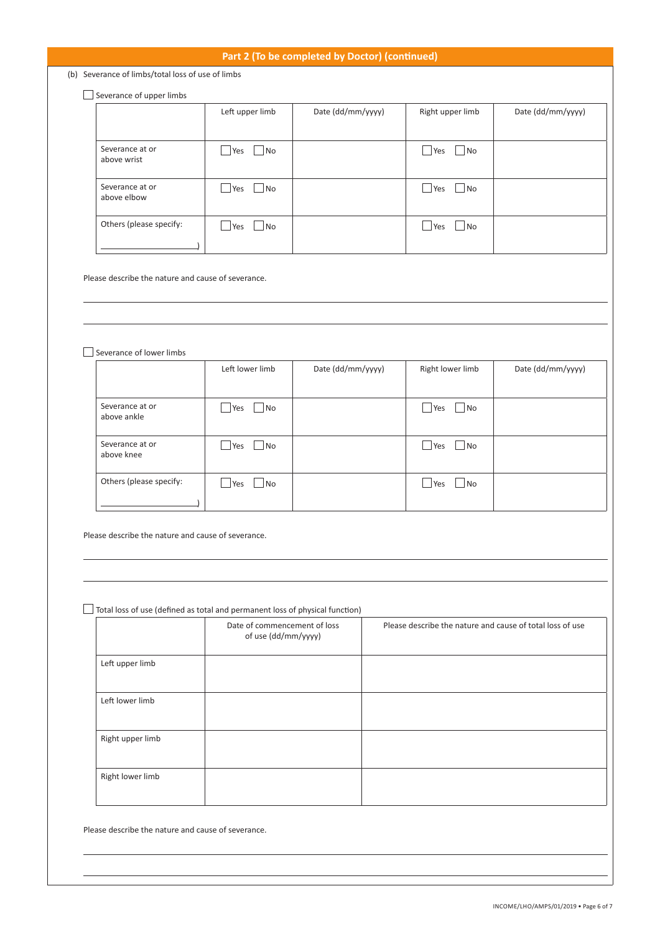## **Part 2 (To be completed by Doctor) (continued)**

(b) Severance of limbs/total loss of use of limbs

## $\Box$  Severance of upper limbs

|                                | Left upper limb  | Date (dd/mm/yyyy) | Right upper limb                   | Date (dd/mm/yyyy) |
|--------------------------------|------------------|-------------------|------------------------------------|-------------------|
|                                |                  |                   |                                    |                   |
| Severance at or<br>above wrist | Yes<br>No        |                   | Yes<br>$ $ No<br>$\mathcal{L}$     |                   |
| Severance at or<br>above elbow | Yes<br>No        |                   | Yes<br>No                          |                   |
| Others (please specify:        | <b>Yes</b><br>No |                   | Yes<br>$\blacksquare$ No<br>$\sim$ |                   |

Please describe the nature and cause of severance.

Severance of lower limbs

|                                | Left lower limb    | Date (dd/mm/yyyy) | Right lower limb                         | Date (dd/mm/yyyy) |
|--------------------------------|--------------------|-------------------|------------------------------------------|-------------------|
| Severance at or<br>above ankle | <b>Yes</b><br>l No |                   | $ $ No<br>Yes<br>$\mathbf{L}$            |                   |
| Severance at or<br>above knee  | Yes<br>l No        |                   | Yes<br>$\blacksquare$ No<br>$\mathbf{I}$ |                   |
| Others (please specify:        | <b>Yes</b><br>l No |                   | No.<br>Yes<br>$\mathbf{I}$               |                   |

Please describe the nature and cause of severance.

Total loss of use (defined as total and permanent loss of physical function)

|                  | Date of commencement of loss<br>of use (dd/mm/yyyy) | Please describe the nature and cause of total loss of use |
|------------------|-----------------------------------------------------|-----------------------------------------------------------|
| Left upper limb  |                                                     |                                                           |
| Left lower limb  |                                                     |                                                           |
| Right upper limb |                                                     |                                                           |
| Right lower limb |                                                     |                                                           |

Please describe the nature and cause of severance.